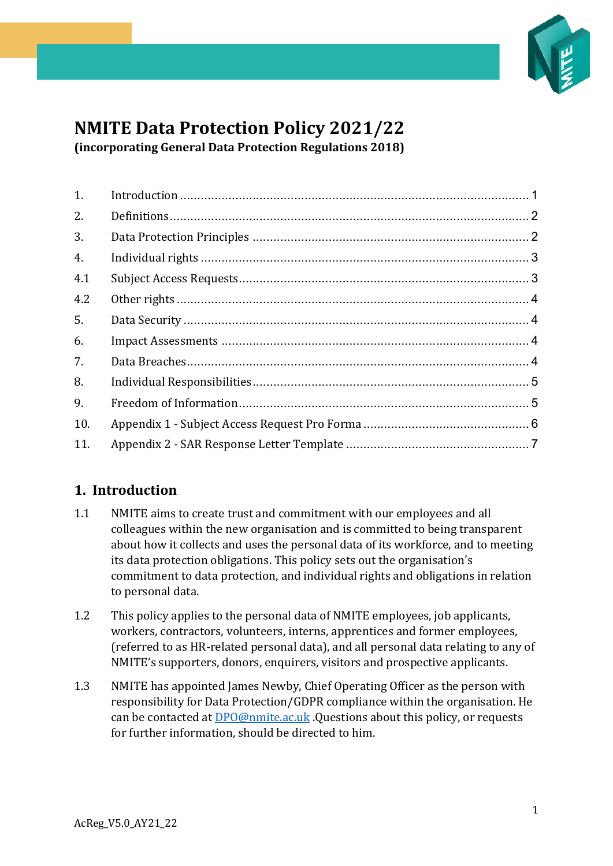

# **NMITE Data Protection Policy 2021/22 (incorporating General Data Protection Regulations 2018)**

| 1.  |  |
|-----|--|
| 2.  |  |
| 3.  |  |
| 4.  |  |
| 4.1 |  |
| 4.2 |  |
| 5.  |  |
| 6.  |  |
| 7.  |  |
| 8.  |  |
| 9.  |  |
| 10. |  |
| 11. |  |

# <span id="page-0-0"></span>**1. Introduction**

- 1.1 NMITE aims to create trust and commitment with our employees and all colleagues within the new organisation and is committed to being transparent about how it collects and uses the personal data of its workforce, and to meeting its data protection obligations. This policy sets out the organisation's commitment to data protection, and individual rights and obligations in relation to personal data.
- 1.2 This policy applies to the personal data of NMITE employees, job applicants, workers, contractors, volunteers, interns, apprentices and former employees, (referred to as HR-related personal data), and all personal data relating to any of NMITE's supporters, donors, enquirers, visitors and prospective applicants.
- 1.3 NMITE has appointed James Newby, Chief Operating Officer as the person with responsibility for Data Protection/GDPR compliance within the organisation. He can be contacted at [DPO@nmite.ac.uk](mailto:DPO@nmite.ac.uk) .Questions about this policy, or requests for further information, should be directed to him.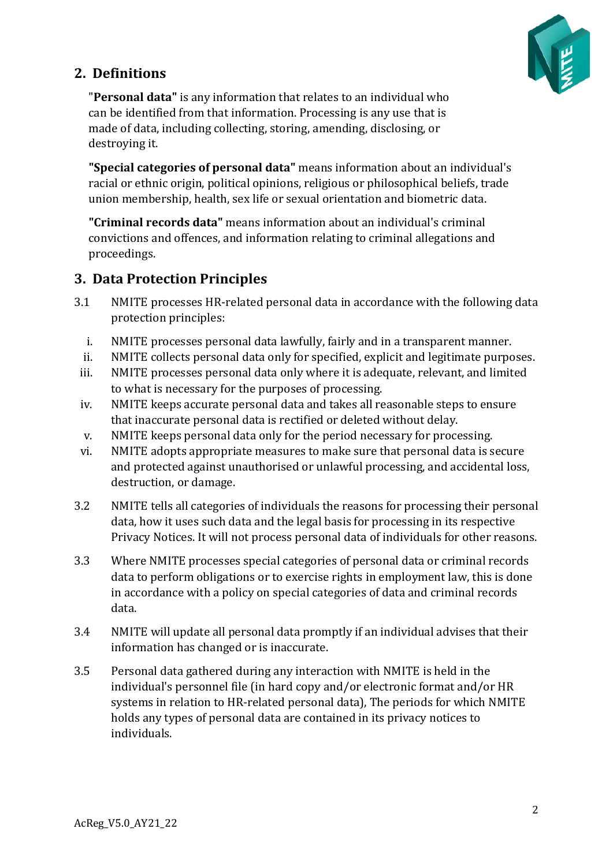

# <span id="page-1-0"></span>**2. Definitions**

"**Personal data"** is any information that relates to an individual who can be identified from that information. Processing is any use that is made of data, including collecting, storing, amending, disclosing, or destroying it.

**"Special categories of personal data"** means information about an individual's racial or ethnic origin, political opinions, religious or philosophical beliefs, trade union membership, health, sex life or sexual orientation and biometric data.

**"Criminal records data"** means information about an individual's criminal convictions and offences, and information relating to criminal allegations and proceedings.

## <span id="page-1-1"></span>**3. Data Protection Principles**

- 3.1 NMITE processes HR-related personal data in accordance with the following data protection principles:
	- i. NMITE processes personal data lawfully, fairly and in a transparent manner.<br>ii. NMITE collects personal data only for specified, explicit and legitimate purpo
	- NMITE collects personal data only for specified, explicit and legitimate purposes.
	- iii. NMITE processes personal data only where it is adequate, relevant, and limited to what is necessary for the purposes of processing.
- iv. NMITE keeps accurate personal data and takes all reasonable steps to ensure that inaccurate personal data is rectified or deleted without delay.
- v. NMITE keeps personal data only for the period necessary for processing.
- vi. NMITE adopts appropriate measures to make sure that personal data is secure and protected against unauthorised or unlawful processing, and accidental loss, destruction, or damage.
- 3.2 NMITE tells all categories of individuals the reasons for processing their personal data, how it uses such data and the legal basis for processing in its respective Privacy Notices. It will not process personal data of individuals for other reasons.
- 3.3 Where NMITE processes special categories of personal data or criminal records data to perform obligations or to exercise rights in employment law, this is done in accordance with a policy on special categories of data and criminal records data.
- 3.4 NMITE will update all personal data promptly if an individual advises that their information has changed or is inaccurate.
- 3.5 Personal data gathered during any interaction with NMITE is held in the individual's personnel file (in hard copy and/or electronic format and/or HR systems in relation to HR-related personal data), The periods for which NMITE holds any types of personal data are contained in its privacy notices to individuals.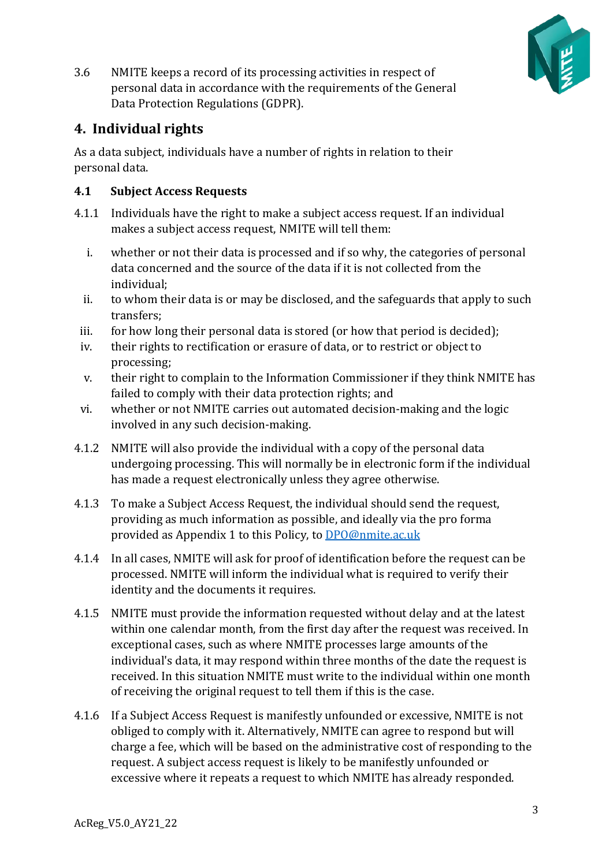

3.6 NMITE keeps a record of its processing activities in respect of personal data in accordance with the requirements of the General Data Protection Regulations (GDPR).

# <span id="page-2-0"></span>**4. Individual rights**

As a data subject, individuals have a number of rights in relation to their personal data.

#### <span id="page-2-1"></span>**4.1 Subject Access Requests**

- 4.1.1 Individuals have the right to make a subject access request. If an individual makes a subject access request, NMITE will tell them:
	- i. whether or not their data is processed and if so why, the categories of personal data concerned and the source of the data if it is not collected from the individual;
	- ii. to whom their data is or may be disclosed, and the safeguards that apply to such transfers;
	- iii. for how long their personal data is stored (or how that period is decided);
	- iv. their rights to rectification or erasure of data, or to restrict or object to processing;
	- v. their right to complain to the Information Commissioner if they think NMITE has failed to comply with their data protection rights; and
- vi. whether or not NMITE carries out automated decision-making and the logic involved in any such decision-making.
- 4.1.2 NMITE will also provide the individual with a copy of the personal data undergoing processing. This will normally be in electronic form if the individual has made a request electronically unless they agree otherwise.
- 4.1.3 To make a Subject Access Request, the individual should send the request, providing as much information as possible, and ideally via the pro forma provided as Appendix 1 to this Policy, to [DPO@nmite.ac.uk](mailto:DPO@nmite.ac.uk)
- 4.1.4 In all cases, NMITE will ask for proof of identification before the request can be processed. NMITE will inform the individual what is required to verify their identity and the documents it requires.
- 4.1.5 NMITE must provide the information requested without delay and at the latest within one calendar month, from the first day after the request was received. In exceptional cases, such as where NMITE processes large amounts of the individual's data, it may respond within three months of the date the request is received. In this situation NMITE must write to the individual within one month of receiving the original request to tell them if this is the case.
- 4.1.6 If a Subject Access Request is manifestly unfounded or excessive, NMITE is not obliged to comply with it. Alternatively, NMITE can agree to respond but will charge a fee, which will be based on the administrative cost of responding to the request. A subject access request is likely to be manifestly unfounded or excessive where it repeats a request to which NMITE has already responded.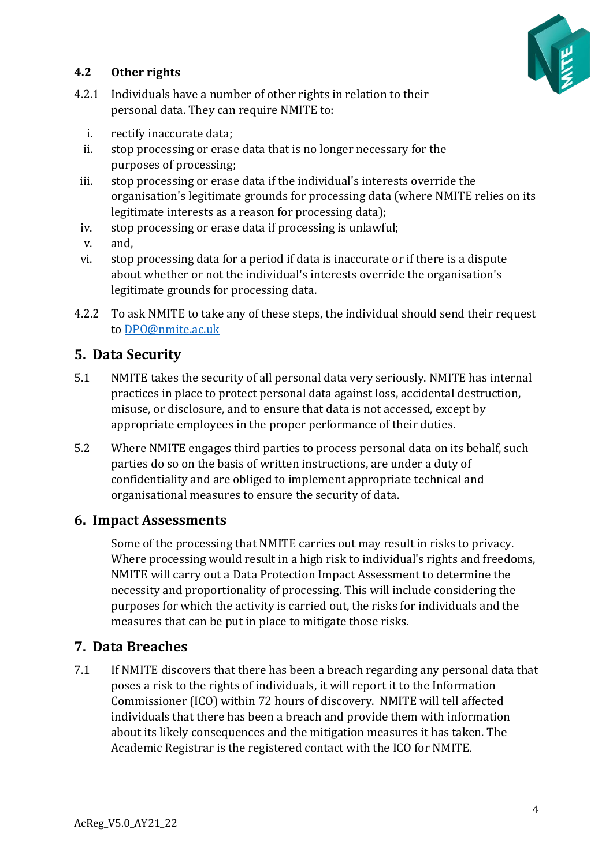

### <span id="page-3-0"></span>**4.2 Other rights**

- 4.2.1 Individuals have a number of other rights in relation to their personal data. They can require NMITE to:
	- i. rectify inaccurate data;
	- ii. stop processing or erase data that is no longer necessary for the purposes of processing;
- iii. stop processing or erase data if the individual's interests override the organisation's legitimate grounds for processing data (where NMITE relies on its legitimate interests as a reason for processing data);
- iv. stop processing or erase data if processing is unlawful;
- v. and,
- vi. stop processing data for a period if data is inaccurate or if there is a dispute about whether or not the individual's interests override the organisation's legitimate grounds for processing data.
- 4.2.2 To ask NMITE to take any of these steps, the individual should send their request to [DPO@nmite.ac.uk](mailto:DPO@nmite.ac.uk)

## <span id="page-3-1"></span>**5. Data Security**

- 5.1 NMITE takes the security of all personal data very seriously. NMITE has internal practices in place to protect personal data against loss, accidental destruction, misuse, or disclosure, and to ensure that data is not accessed, except by appropriate employees in the proper performance of their duties.
- 5.2 Where NMITE engages third parties to process personal data on its behalf, such parties do so on the basis of written instructions, are under a duty of confidentiality and are obliged to implement appropriate technical and organisational measures to ensure the security of data.

#### <span id="page-3-2"></span>**6. Impact Assessments**

Some of the processing that NMITE carries out may result in risks to privacy. Where processing would result in a high risk to individual's rights and freedoms, NMITE will carry out a Data Protection Impact Assessment to determine the necessity and proportionality of processing. This will include considering the purposes for which the activity is carried out, the risks for individuals and the measures that can be put in place to mitigate those risks.

## <span id="page-3-3"></span>**7. Data Breaches**

7.1 If NMITE discovers that there has been a breach regarding any personal data that poses a risk to the rights of individuals, it will report it to the Information Commissioner (ICO) within 72 hours of discovery. NMITE will tell affected individuals that there has been a breach and provide them with information about its likely consequences and the mitigation measures it has taken. The Academic Registrar is the registered contact with the ICO for NMITE.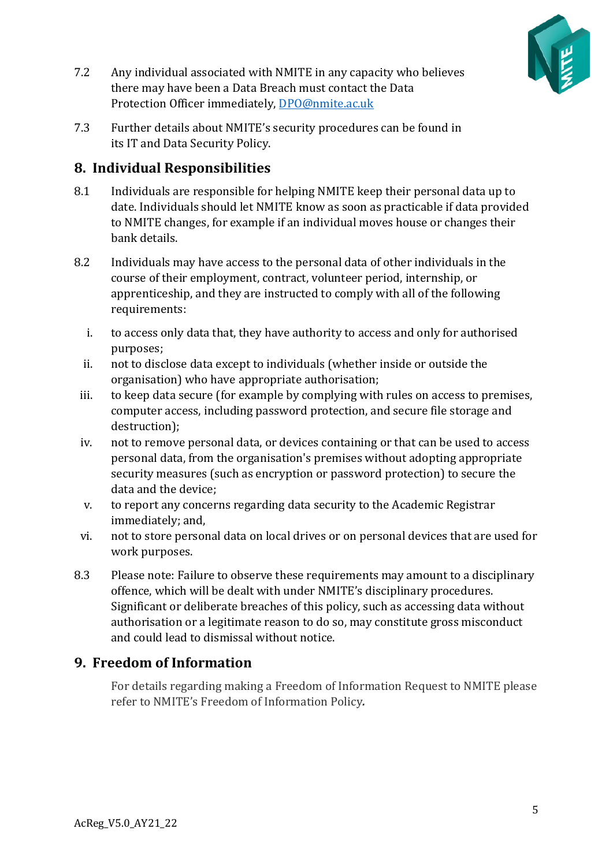

- 7.2 Any individual associated with NMITE in any capacity who believes there may have been a Data Breach must contact the Data Protection Officer immediately, [DPO@nmite.ac.uk](mailto:DPO@nmite.ac.uk)
- 7.3 Further details about NMITE's security procedures can be found in its IT and Data Security Policy.

## <span id="page-4-0"></span>**8. Individual Responsibilities**

- 8.1 Individuals are responsible for helping NMITE keep their personal data up to date. Individuals should let NMITE know as soon as practicable if data provided to NMITE changes, for example if an individual moves house or changes their bank details.
- 8.2 Individuals may have access to the personal data of other individuals in the course of their employment, contract, volunteer period, internship, or apprenticeship, and they are instructed to comply with all of the following requirements:
	- i. to access only data that, they have authority to access and only for authorised purposes;
	- ii. not to disclose data except to individuals (whether inside or outside the organisation) who have appropriate authorisation;
	- iii. to keep data secure (for example by complying with rules on access to premises, computer access, including password protection, and secure file storage and destruction);
	- iv. not to remove personal data, or devices containing or that can be used to access personal data, from the organisation's premises without adopting appropriate security measures (such as encryption or password protection) to secure the data and the device;
	- v. to report any concerns regarding data security to the Academic Registrar immediately; and,
- vi. not to store personal data on local drives or on personal devices that are used for work purposes.
- 8.3 Please note: Failure to observe these requirements may amount to a disciplinary offence, which will be dealt with under NMITE's disciplinary procedures. Significant or deliberate breaches of this policy, such as accessing data without authorisation or a legitimate reason to do so, may constitute gross misconduct and could lead to dismissal without notice.

## <span id="page-4-1"></span>**9. Freedom of Information**

For details regarding making a Freedom of Information Request to NMITE please refer to NMITE's Freedom of Information Policy*.*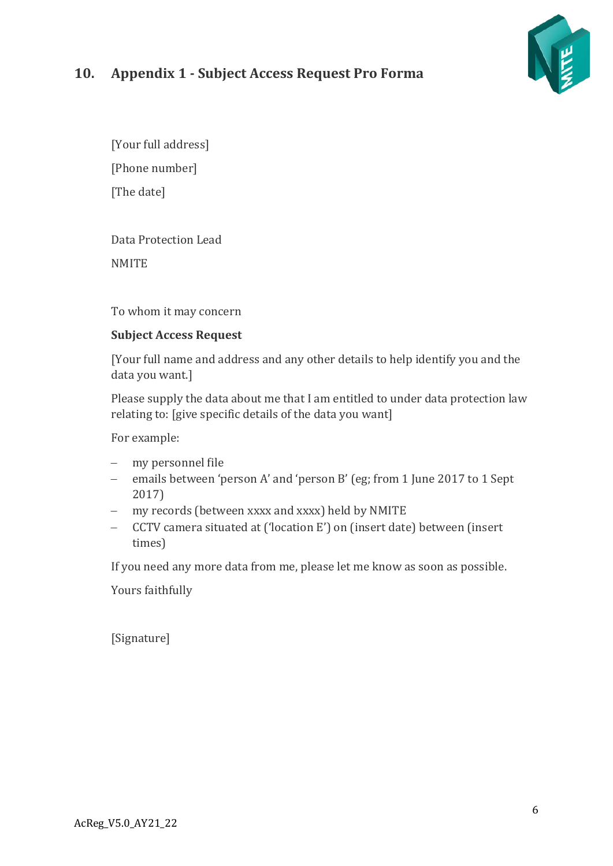# VE

# <span id="page-5-0"></span>**10. Appendix 1 - Subject Access Request Pro Forma**

[Your full address] [Phone number] [The date]

Data Protection Lead **NMITE** 

To whom it may concern

## **Subject Access Request**

[Your full name and address and any other details to help identify you and the data you want.]

Please supply the data about me that I am entitled to under data protection law relating to: [give specific details of the data you want]

For example:

- − my personnel file
- − emails between 'person A' and 'person B' (eg; from 1 June 2017 to 1 Sept 2017)
- − my records (between xxxx and xxxx) held by NMITE
- − CCTV camera situated at ('location E') on (insert date) between (insert times)

If you need any more data from me, please let me know as soon as possible.

Yours faithfully

[Signature]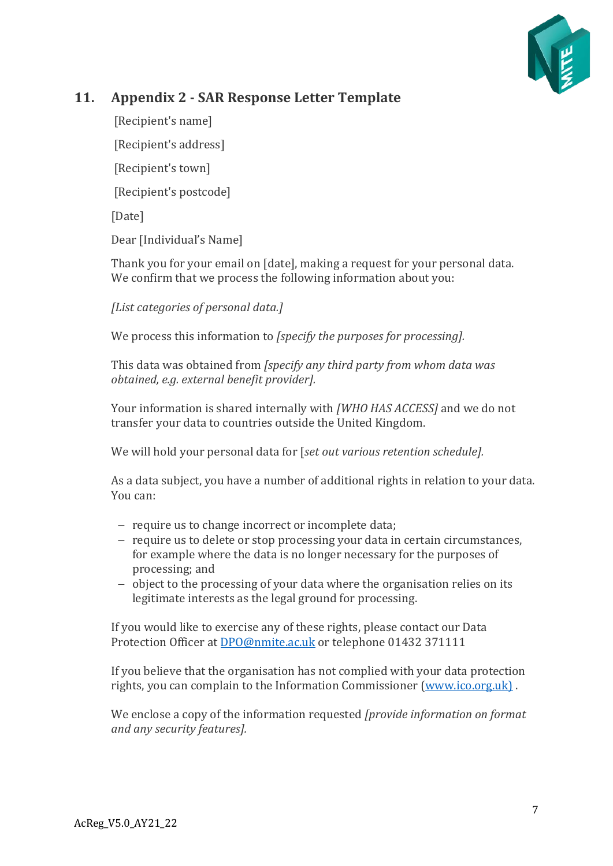

# <span id="page-6-0"></span>**11. Appendix 2 - SAR Response Letter Template**

[Recipient's name]

[Recipient's address]

[Recipient's town]

[Recipient's postcode]

[Date]

Dear [Individual's Name]

Thank you for your email on [date], making a request for your personal data. We confirm that we process the following information about you:

*[List categories of personal data.]* 

We process this information to *[specify the purposes for processing].* 

This data was obtained from *[specify any third party from whom data was obtained, e.g. external benefit provider].*

Your information is shared internally with *[WHO HAS ACCESS]* and we do not transfer your data to countries outside the United Kingdom.

We will hold your personal data for [*set out various retention schedule].*

As a data subject, you have a number of additional rights in relation to your data. You can:

- − require us to change incorrect or incomplete data;
- − require us to delete or stop processing your data in certain circumstances, for example where the data is no longer necessary for the purposes of processing; and
- − object to the processing of your data where the organisation relies on its legitimate interests as the legal ground for processing.

If you would like to exercise any of these rights, please contact our Data Protection Officer at [DPO@nmite.ac.uk](mailto:DPO@nmite.ac.uk) or telephone 01432 371111

If you believe that the organisation has not complied with your data protection rights, you can complain to the Information Commissioner [\(www.ico.org.uk\)](http://www.ico.org.uk/) .

We enclose a copy of the information requested *[provide information on format and any security features].*